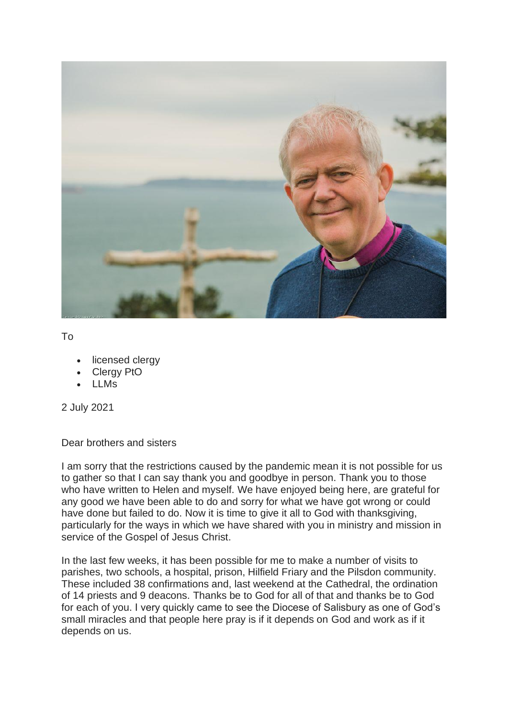

To

- licensed clergy
- Clergy PtO
- LLMs

2 July 2021

Dear brothers and sisters

I am sorry that the restrictions caused by the pandemic mean it is not possible for us to gather so that I can say thank you and goodbye in person. Thank you to those who have written to Helen and myself. We have enjoyed being here, are grateful for any good we have been able to do and sorry for what we have got wrong or could have done but failed to do. Now it is time to give it all to God with thanksgiving, particularly for the ways in which we have shared with you in ministry and mission in service of the Gospel of Jesus Christ.

In the last few weeks, it has been possible for me to make a number of visits to parishes, two schools, a hospital, prison, Hilfield Friary and the Pilsdon community. These included 38 confirmations and, last weekend at the Cathedral, the ordination of 14 priests and 9 deacons. Thanks be to God for all of that and thanks be to God for each of you. I very quickly came to see the Diocese of Salisbury as one of God's small miracles and that people here pray is if it depends on God and work as if it depends on us.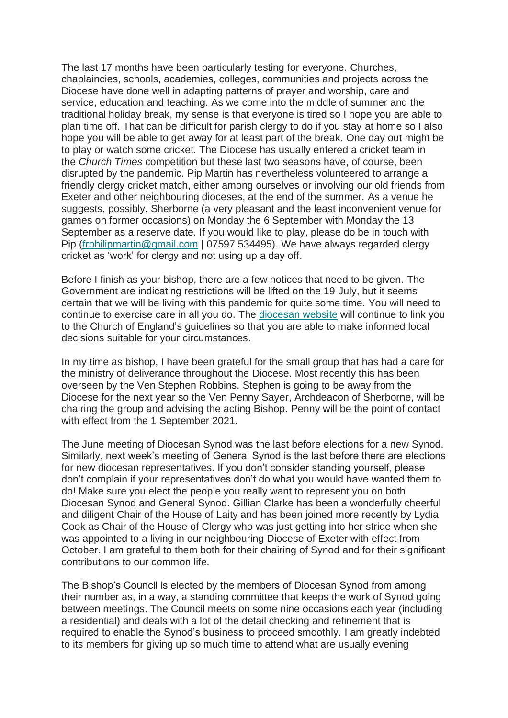The last 17 months have been particularly testing for everyone. Churches, chaplaincies, schools, academies, colleges, communities and projects across the Diocese have done well in adapting patterns of prayer and worship, care and service, education and teaching. As we come into the middle of summer and the traditional holiday break, my sense is that everyone is tired so I hope you are able to plan time off. That can be difficult for parish clergy to do if you stay at home so I also hope you will be able to get away for at least part of the break. One day out might be to play or watch some cricket. The Diocese has usually entered a cricket team in the *Church Times* competition but these last two seasons have, of course, been disrupted by the pandemic. Pip Martin has nevertheless volunteered to arrange a friendly clergy cricket match, either among ourselves or involving our old friends from Exeter and other neighbouring dioceses, at the end of the summer. As a venue he suggests, possibly, Sherborne (a very pleasant and the least inconvenient venue for games on former occasions) on Monday the 6 September with Monday the 13 September as a reserve date. If you would like to play, please do be in touch with Pip [\(frphilipmartin@gmail.com](mailto:frphilipmartin@gmail.com) | 07597 534495). We have always regarded clergy cricket as 'work' for clergy and not using up a day off.

Before I finish as your bishop, there are a few notices that need to be given. The Government are indicating restrictions will be lifted on the 19 July, but it seems certain that we will be living with this pandemic for quite some time. You will need to continue to exercise care in all you do. The [diocesan website](https://www.salisbury.anglican.org/whos-who/news-and-events/coronavirus) will continue to link you to the Church of England's guidelines so that you are able to make informed local decisions suitable for your circumstances.

In my time as bishop, I have been grateful for the small group that has had a care for the ministry of deliverance throughout the Diocese. Most recently this has been overseen by the Ven Stephen Robbins. Stephen is going to be away from the Diocese for the next year so the Ven Penny Sayer, Archdeacon of Sherborne, will be chairing the group and advising the acting Bishop. Penny will be the point of contact with effect from the 1 September 2021.

The June meeting of Diocesan Synod was the last before elections for a new Synod. Similarly, next week's meeting of General Synod is the last before there are elections for new diocesan representatives. If you don't consider standing yourself, please don't complain if your representatives don't do what you would have wanted them to do! Make sure you elect the people you really want to represent you on both Diocesan Synod and General Synod. Gillian Clarke has been a wonderfully cheerful and diligent Chair of the House of Laity and has been joined more recently by Lydia Cook as Chair of the House of Clergy who was just getting into her stride when she was appointed to a living in our neighbouring Diocese of Exeter with effect from October. I am grateful to them both for their chairing of Synod and for their significant contributions to our common life.

The Bishop's Council is elected by the members of Diocesan Synod from among their number as, in a way, a standing committee that keeps the work of Synod going between meetings. The Council meets on some nine occasions each year (including a residential) and deals with a lot of the detail checking and refinement that is required to enable the Synod's business to proceed smoothly. I am greatly indebted to its members for giving up so much time to attend what are usually evening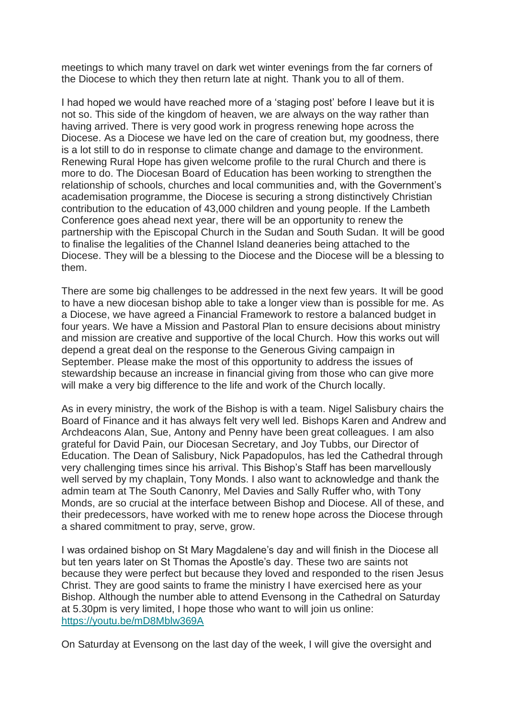meetings to which many travel on dark wet winter evenings from the far corners of the Diocese to which they then return late at night. Thank you to all of them.

I had hoped we would have reached more of a 'staging post' before I leave but it is not so. This side of the kingdom of heaven, we are always on the way rather than having arrived. There is very good work in progress renewing hope across the Diocese. As a Diocese we have led on the care of creation but, my goodness, there is a lot still to do in response to climate change and damage to the environment. Renewing Rural Hope has given welcome profile to the rural Church and there is more to do. The Diocesan Board of Education has been working to strengthen the relationship of schools, churches and local communities and, with the Government's academisation programme, the Diocese is securing a strong distinctively Christian contribution to the education of 43,000 children and young people. If the Lambeth Conference goes ahead next year, there will be an opportunity to renew the partnership with the Episcopal Church in the Sudan and South Sudan. It will be good to finalise the legalities of the Channel Island deaneries being attached to the Diocese. They will be a blessing to the Diocese and the Diocese will be a blessing to them.

There are some big challenges to be addressed in the next few years. It will be good to have a new diocesan bishop able to take a longer view than is possible for me. As a Diocese, we have agreed a Financial Framework to restore a balanced budget in four years. We have a Mission and Pastoral Plan to ensure decisions about ministry and mission are creative and supportive of the local Church. How this works out will depend a great deal on the response to the Generous Giving campaign in September. Please make the most of this opportunity to address the issues of stewardship because an increase in financial giving from those who can give more will make a very big difference to the life and work of the Church locally.

As in every ministry, the work of the Bishop is with a team. Nigel Salisbury chairs the Board of Finance and it has always felt very well led. Bishops Karen and Andrew and Archdeacons Alan, Sue, Antony and Penny have been great colleagues. I am also grateful for David Pain, our Diocesan Secretary, and Joy Tubbs, our Director of Education. The Dean of Salisbury, Nick Papadopulos, has led the Cathedral through very challenging times since his arrival. This Bishop's Staff has been marvellously well served by my chaplain, Tony Monds. I also want to acknowledge and thank the admin team at The South Canonry, Mel Davies and Sally Ruffer who, with Tony Monds, are so crucial at the interface between Bishop and Diocese. All of these, and their predecessors, have worked with me to renew hope across the Diocese through a shared commitment to pray, serve, grow.

I was ordained bishop on St Mary Magdalene's day and will finish in the Diocese all but ten years later on St Thomas the Apostle's day. These two are saints not because they were perfect but because they loved and responded to the risen Jesus Christ. They are good saints to frame the ministry I have exercised here as your Bishop. Although the number able to attend Evensong in the Cathedral on Saturday at 5.30pm is very limited, I hope those who want to will join us online: [https://youtu.be/mD8Mblw369A](https://eur02.safelinks.protection.outlook.com/?url=https%3A%2F%2Fyoutu.be%2FmD8Mblw369A&data=04%7C01%7CA.Macham%40salcath.co.uk%7Cc5bb8a10415b497f28cf08d93c87a9f7%7C7bf8d56811b3443f8aa808177b699770%7C0%7C0%7C637607375629990742%7CUnknown%7CTWFpbGZsb3d8eyJWIjoiMC4wLjAwMDAiLCJQIjoiV2luMzIiLCJBTiI6Ik1haWwiLCJXVCI6Mn0%3D%7C1000&sdata=1Us5CRxgg1my0bmA6J8qTYbDCQh0RVycJKjfmHJWtcY%3D&reserved=0)

On Saturday at Evensong on the last day of the week, I will give the oversight and